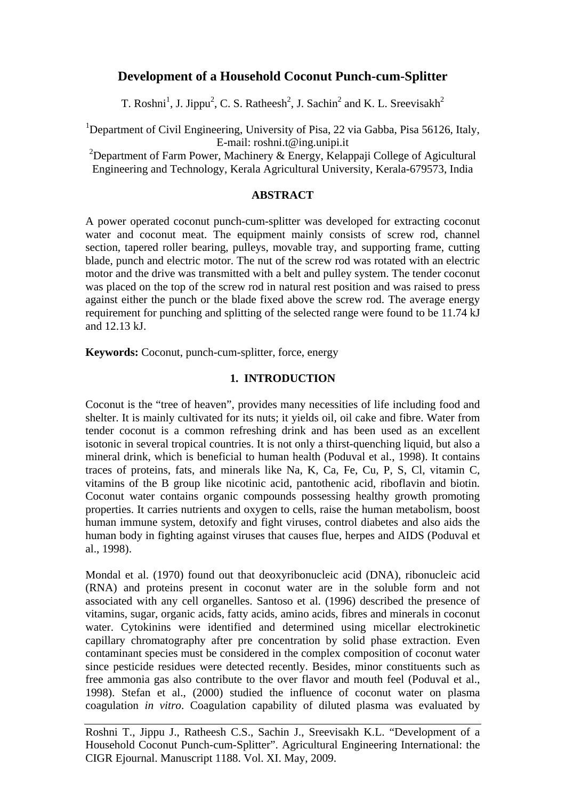# **Development of a Household Coconut Punch-cum-Splitter**

T. Roshni<sup>1</sup>, J. Jippu<sup>2</sup>, C. S. Ratheesh<sup>2</sup>, J. Sachin<sup>2</sup> and K. L. Sreevisakh<sup>2</sup>

<sup>1</sup>Department of Civil Engineering, University of Pisa, 22 via Gabba, Pisa 56126, Italy, E-mail: [roshni.t@ing.unipi.it](mailto:roshni.t@ing.unipi.it)

<sup>2</sup>Department of Farm Power, Machinery & Energy, Kelappaji College of Agicultural Engineering and Technology, Kerala Agricultural University, Kerala-679573, India

#### **ABSTRACT**

A power operated coconut punch-cum-splitter was developed for extracting coconut water and coconut meat. The equipment mainly consists of screw rod, channel section, tapered roller bearing, pulleys, movable tray, and supporting frame, cutting blade, punch and electric motor. The nut of the screw rod was rotated with an electric motor and the drive was transmitted with a belt and pulley system. The tender coconut was placed on the top of the screw rod in natural rest position and was raised to press against either the punch or the blade fixed above the screw rod. The average energy requirement for punching and splitting of the selected range were found to be 11.74 kJ and 12.13 kJ.

**Keywords:** Coconut, punch-cum-splitter, force, energy

## **1. INTRODUCTION**

Coconut is the "tree of heaven", provides many necessities of life including food and shelter. It is mainly cultivated for its nuts; it yields oil, oil cake and fibre. Water from tender coconut is a common refreshing drink and has been used as an excellent isotonic in several tropical countries. It is not only a thirst-quenching liquid, but also a mineral drink, which is beneficial to human health (Poduval et al., 1998). It contains traces of proteins, fats, and minerals like Na, K, Ca, Fe, Cu, P, S, Cl, vitamin C, vitamins of the B group like nicotinic acid, pantothenic acid, riboflavin and biotin. Coconut water contains organic compounds possessing healthy growth promoting properties. It carries nutrients and oxygen to cells, raise the human metabolism, boost human immune system, detoxify and fight viruses, control diabetes and also aids the human body in fighting against viruses that causes flue, herpes and AIDS (Poduval et al., 1998).

Mondal et al. (1970) found out that deoxyribonucleic acid (DNA), ribonucleic acid (RNA) and proteins present in coconut water are in the soluble form and not associated with any cell organelles. Santoso et al. (1996) described the presence of vitamins, sugar, organic acids, fatty acids, amino acids, fibres and minerals in coconut water. Cytokinins were identified and determined using micellar electrokinetic capillary chromatography after pre concentration by solid phase extraction. Even contaminant species must be considered in the complex composition of coconut water since pesticide residues were detected recently. Besides, minor constituents such as free ammonia gas also contribute to the over flavor and mouth feel (Poduval et al., 1998). Stefan et al., (2000) studied the influence of coconut water on plasma coagulation *in vitro*. Coagulation capability of diluted plasma was evaluated by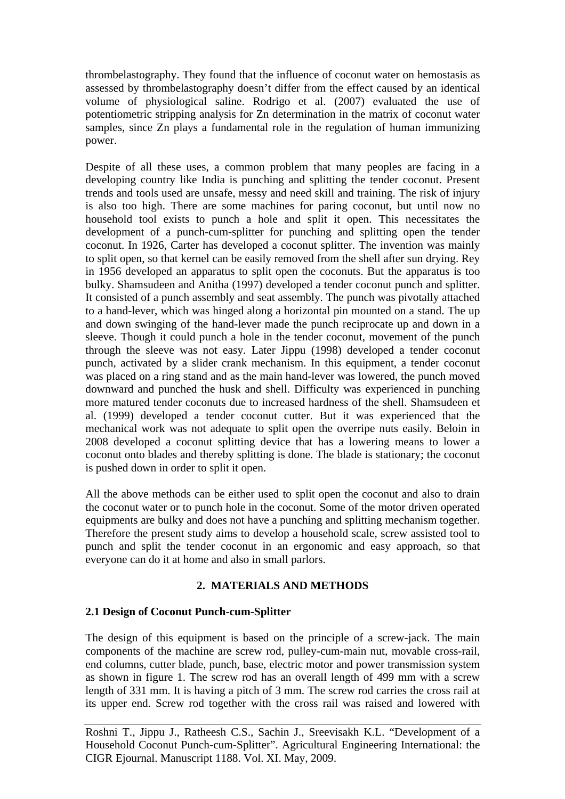thrombelastography. They found that the influence of coconut water on hemostasis as assessed by thrombelastography doesn't differ from the effect caused by an identical volume of physiological saline. Rodrigo et al. (2007) evaluated the use of potentiometric stripping analysis for Zn determination in the matrix of coconut water samples, since Zn plays a fundamental role in the regulation of human immunizing power.

Despite of all these uses, a common problem that many peoples are facing in a developing country like India is punching and splitting the tender coconut. Present trends and tools used are unsafe, messy and need skill and training. The risk of injury is also too high. There are some machines for paring coconut, but until now no household tool exists to punch a hole and split it open. This necessitates the development of a punch-cum-splitter for punching and splitting open the tender coconut. In 1926, Carter has developed a coconut splitter. The invention was mainly to split open, so that kernel can be easily removed from the shell after sun drying. Rey in 1956 developed an apparatus to split open the coconuts. But the apparatus is too bulky. Shamsudeen and Anitha (1997) developed a tender coconut punch and splitter. It consisted of a punch assembly and seat assembly. The punch was pivotally attached to a hand-lever, which was hinged along a horizontal pin mounted on a stand. The up and down swinging of the hand-lever made the punch reciprocate up and down in a sleeve. Though it could punch a hole in the tender coconut, movement of the punch through the sleeve was not easy. Later Jippu (1998) developed a tender coconut punch, activated by a slider crank mechanism. In this equipment, a tender coconut was placed on a ring stand and as the main hand-lever was lowered, the punch moved downward and punched the husk and shell. Difficulty was experienced in punching more matured tender coconuts due to increased hardness of the shell. Shamsudeen et al. (1999) developed a tender coconut cutter. But it was experienced that the mechanical work was not adequate to split open the overripe nuts easily. Beloin in 2008 developed a coconut splitting device that has a lowering means to lower a coconut onto blades and thereby splitting is done. The blade is stationary; the coconut is pushed down in order to split it open.

All the above methods can be either used to split open the coconut and also to drain the coconut water or to punch hole in the coconut. Some of the motor driven operated equipments are bulky and does not have a punching and splitting mechanism together. Therefore the present study aims to develop a household scale, screw assisted tool to punch and split the tender coconut in an ergonomic and easy approach, so that everyone can do it at home and also in small parlors.

# **2. MATERIALS AND METHODS**

# **2.1 Design of Coconut Punch-cum-Splitter**

The design of this equipment is based on the principle of a screw-jack. The main components of the machine are screw rod, pulley-cum-main nut, movable cross-rail, end columns, cutter blade, punch, base, electric motor and power transmission system as shown in figure 1. The screw rod has an overall length of 499 mm with a screw length of 331 mm. It is having a pitch of 3 mm. The screw rod carries the cross rail at its upper end. Screw rod together with the cross rail was raised and lowered with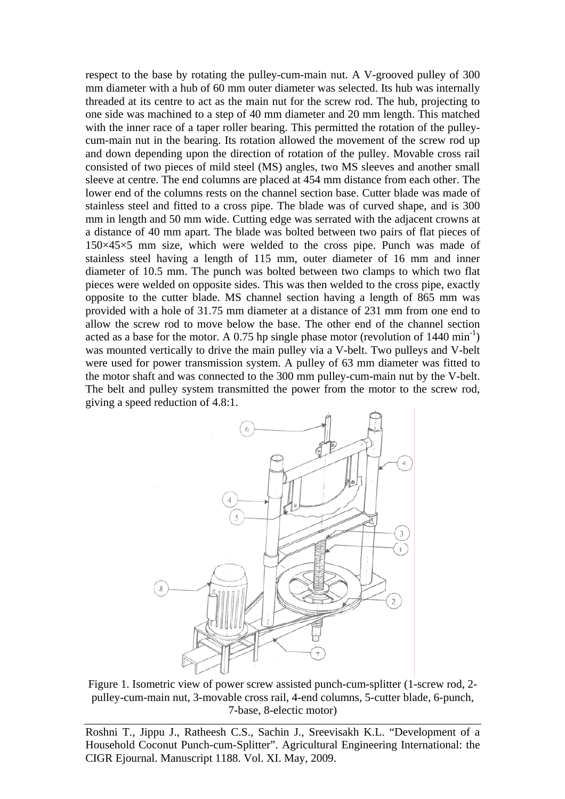respect to the base by rotating the pulley-cum-main nut. A V-grooved pulley of 300 mm diameter with a hub of 60 mm outer diameter was selected. Its hub was internally threaded at its centre to act as the main nut for the screw rod. The hub, projecting to one side was machined to a step of 40 mm diameter and 20 mm length. This matched with the inner race of a taper roller bearing. This permitted the rotation of the pulleycum-main nut in the bearing. Its rotation allowed the movement of the screw rod up and down depending upon the direction of rotation of the pulley. Movable cross rail consisted of two pieces of mild steel (MS) angles, two MS sleeves and another small sleeve at centre. The end columns are placed at 454 mm distance from each other. The lower end of the columns rests on the channel section base. Cutter blade was made of stainless steel and fitted to a cross pipe. The blade was of curved shape, and is 300 mm in length and 50 mm wide. Cutting edge was serrated with the adjacent crowns at a distance of 40 mm apart. The blade was bolted between two pairs of flat pieces of 150×45×5 mm size, which were welded to the cross pipe. Punch was made of stainless steel having a length of 115 mm, outer diameter of 16 mm and inner diameter of 10.5 mm. The punch was bolted between two clamps to which two flat pieces were welded on opposite sides. This was then welded to the cross pipe, exactly opposite to the cutter blade. MS channel section having a length of 865 mm was provided with a hole of 31.75 mm diameter at a distance of 231 mm from one end to allow the screw rod to move below the base. The other end of the channel section acted as a base for the motor. A 0.75 hp single phase motor (revolution of  $1440 \text{ min}^{-1}$ ) was mounted vertically to drive the main pulley via a V-belt. Two pulleys and V-belt were used for power transmission system. A pulley of 63 mm diameter was fitted to the motor shaft and was connected to the 300 mm pulley-cum-main nut by the V-belt. The belt and pulley system transmitted the power from the motor to the screw rod, giving a speed reduction of 4.8:1.



Figure 1. Isometric view of power screw assisted punch-cum-splitter (1-screw rod, 2 pulley-cum-main nut, 3-movable cross rail, 4-end columns, 5-cutter blade, 6-punch, 7-base, 8-electic motor)

Roshni T., Jippu J., Ratheesh C.S., Sachin J., Sreevisakh K.L. "Development of a Household Coconut Punch-cum-Splitter". Agricultural Engineering International: the CIGR Ejournal. Manuscript 1188. Vol. XI. May, 2009.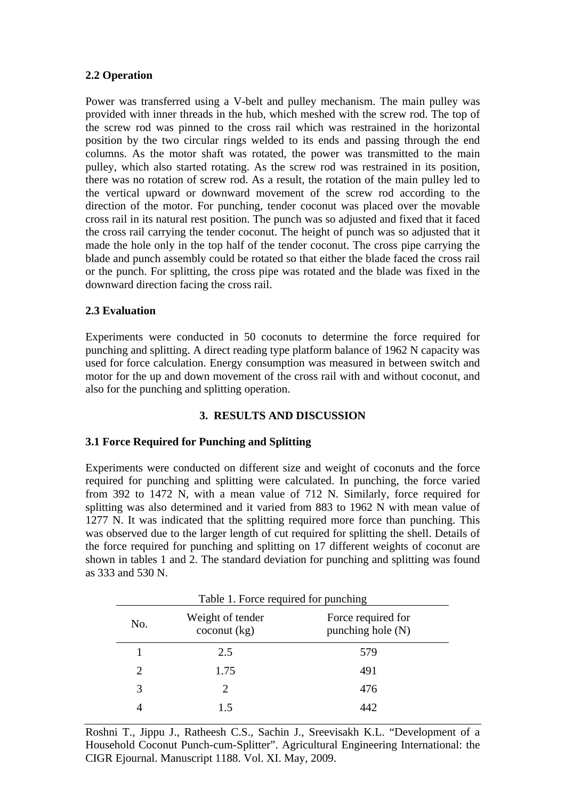# **2.2 Operation**

Power was transferred using a V-belt and pulley mechanism. The main pulley was provided with inner threads in the hub, which meshed with the screw rod. The top of the screw rod was pinned to the cross rail which was restrained in the horizontal position by the two circular rings welded to its ends and passing through the end columns. As the motor shaft was rotated, the power was transmitted to the main pulley, which also started rotating. As the screw rod was restrained in its position, there was no rotation of screw rod. As a result, the rotation of the main pulley led to the vertical upward or downward movement of the screw rod according to the direction of the motor. For punching, tender coconut was placed over the movable cross rail in its natural rest position. The punch was so adjusted and fixed that it faced the cross rail carrying the tender coconut. The height of punch was so adjusted that it made the hole only in the top half of the tender coconut. The cross pipe carrying the blade and punch assembly could be rotated so that either the blade faced the cross rail or the punch. For splitting, the cross pipe was rotated and the blade was fixed in the downward direction facing the cross rail.

## **2.3 Evaluation**

Experiments were conducted in 50 coconuts to determine the force required for punching and splitting. A direct reading type platform balance of 1962 N capacity was used for force calculation. Energy consumption was measured in between switch and motor for the up and down movement of the cross rail with and without coconut, and also for the punching and splitting operation.

# **3. RESULTS AND DISCUSSION**

#### **3.1 Force Required for Punching and Splitting**

Experiments were conducted on different size and weight of coconuts and the force required for punching and splitting were calculated. In punching, the force varied from 392 to 1472 N, with a mean value of 712 N. Similarly, force required for splitting was also determined and it varied from 883 to 1962 N with mean value of 1277 N. It was indicated that the splitting required more force than punching. This was observed due to the larger length of cut required for splitting the shell. Details of the force required for punching and splitting on 17 different weights of coconut are shown in tables 1 and 2. The standard deviation for punching and splitting was found as 333 and 530 N.

| No. | Weight of tender<br>$\operatorname{cocomut}$ (kg) | Force required for<br>punching hole $(N)$ |
|-----|---------------------------------------------------|-------------------------------------------|
|     | 2.5                                               | 579                                       |
| 2   | 1.75                                              | 491                                       |
| 3   | $\mathcal{D}_{\cdot}$                             | 476                                       |
|     | 15                                                | 442                                       |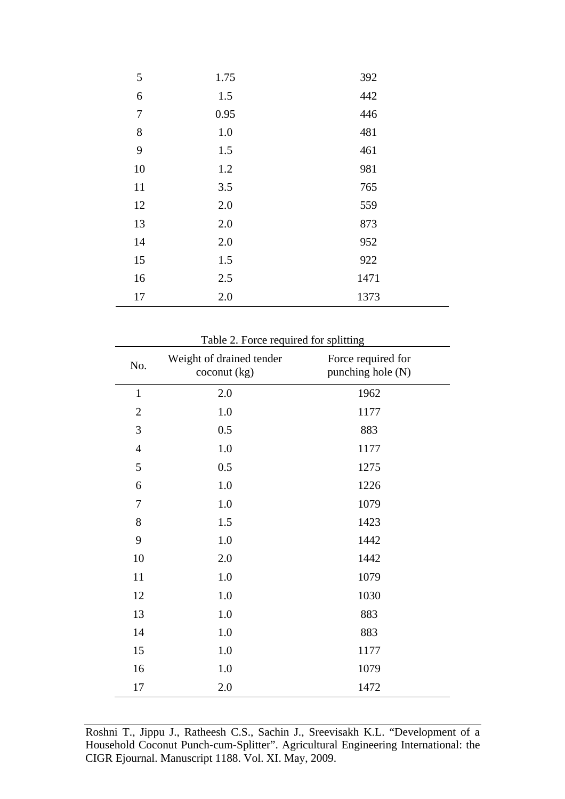| 5      | 1.75    | 392  |
|--------|---------|------|
| 6      | 1.5     | 442  |
| $\tau$ | 0.95    | 446  |
| $8\,$  | $1.0\,$ | 481  |
| 9      | 1.5     | 461  |
| 10     | 1.2     | 981  |
| 11     | 3.5     | 765  |
| 12     | 2.0     | 559  |
| 13     | 2.0     | 873  |
| 14     | 2.0     | 952  |
| 15     | 1.5     | 922  |
| 16     | 2.5     | 1471 |
| 17     | 2.0     | 1373 |

| Table 2. Force required for splitting |  |  |  |  |  |
|---------------------------------------|--|--|--|--|--|
|---------------------------------------|--|--|--|--|--|

| No.            | Weight of drained tender<br>$\text{cocomut}$ (kg) | Force required for<br>punching hole (N) |
|----------------|---------------------------------------------------|-----------------------------------------|
| $\mathbf{1}$   | 2.0                                               | 1962                                    |
| $\overline{2}$ | 1.0                                               | 1177                                    |
| 3              | 0.5                                               | 883                                     |
| $\overline{4}$ | 1.0                                               | 1177                                    |
| 5              | 0.5                                               | 1275                                    |
| 6              | 1.0                                               | 1226                                    |
| 7              | 1.0                                               | 1079                                    |
| 8              | 1.5                                               | 1423                                    |
| 9              | 1.0                                               | 1442                                    |
| 10             | 2.0                                               | 1442                                    |
| 11             | 1.0                                               | 1079                                    |
| 12             | 1.0                                               | 1030                                    |
| 13             | 1.0                                               | 883                                     |
| 14             | 1.0                                               | 883                                     |
| 15             | 1.0                                               | 1177                                    |
| 16             | 1.0                                               | 1079                                    |
| 17             | 2.0                                               | 1472                                    |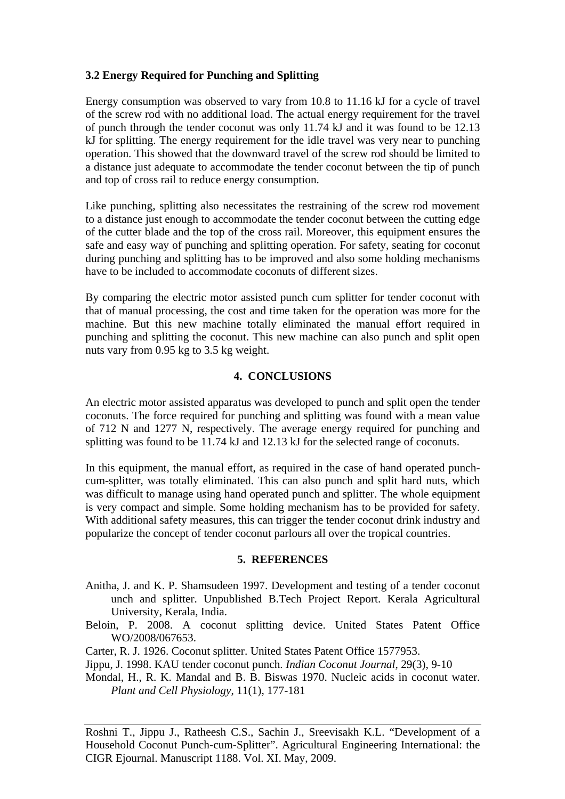# **3.2 Energy Required for Punching and Splitting**

Energy consumption was observed to vary from 10.8 to 11.16 kJ for a cycle of travel of the screw rod with no additional load. The actual energy requirement for the travel of punch through the tender coconut was only 11.74 kJ and it was found to be 12.13 kJ for splitting. The energy requirement for the idle travel was very near to punching operation. This showed that the downward travel of the screw rod should be limited to a distance just adequate to accommodate the tender coconut between the tip of punch and top of cross rail to reduce energy consumption.

Like punching, splitting also necessitates the restraining of the screw rod movement to a distance just enough to accommodate the tender coconut between the cutting edge of the cutter blade and the top of the cross rail. Moreover, this equipment ensures the safe and easy way of punching and splitting operation. For safety, seating for coconut during punching and splitting has to be improved and also some holding mechanisms have to be included to accommodate coconuts of different sizes.

By comparing the electric motor assisted punch cum splitter for tender coconut with that of manual processing, the cost and time taken for the operation was more for the machine. But this new machine totally eliminated the manual effort required in punching and splitting the coconut. This new machine can also punch and split open nuts vary from 0.95 kg to 3.5 kg weight.

## **4. CONCLUSIONS**

An electric motor assisted apparatus was developed to punch and split open the tender coconuts. The force required for punching and splitting was found with a mean value of 712 N and 1277 N, respectively. The average energy required for punching and splitting was found to be 11.74 kJ and 12.13 kJ for the selected range of coconuts.

In this equipment, the manual effort, as required in the case of hand operated punchcum-splitter, was totally eliminated. This can also punch and split hard nuts, which was difficult to manage using hand operated punch and splitter. The whole equipment is very compact and simple. Some holding mechanism has to be provided for safety. With additional safety measures, this can trigger the tender coconut drink industry and popularize the concept of tender coconut parlours all over the tropical countries.

#### **5. REFERENCES**

- Anitha, J. and K. P. Shamsudeen 1997. Development and testing of a tender coconut unch and splitter. Unpublished B.Tech Project Report. Kerala Agricultural University, Kerala, India.
- Beloin, P. 2008. A coconut splitting device. United States Patent Office WO/2008/067653.

Carter, R. J. 1926. Coconut splitter. United States Patent Office 1577953.

Jippu, J. 1998. KAU tender coconut punch. *Indian Coconut Journal*, 29(3), 9-10

Mondal, H., R. K. Mandal and B. B. Biswas 1970. Nucleic acids in coconut water. *Plant and Cell Physiology*, 11(1), 177-181